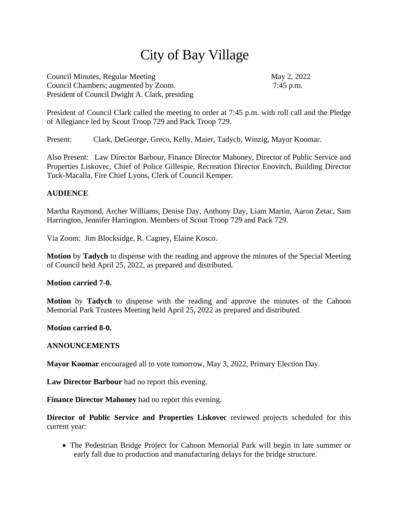# City of Bay Village

Council Minutes, Regular Meeting May 2, 2022 Council Chambers; augmented by Zoom. 7:45 p.m. President of Council Dwight A. Clark, presiding

President of Council Clark called the meeting to order at 7:45 p.m. with roll call and the Pledge of Allegiance led by Scout Troop 729 and Pack Troop 729.

Present: Clark, DeGeorge, Greco, Kelly, Maier, Tadych, Winzig, Mayor Koomar.

Also Present: Law Director Barbour, Finance Director Mahoney, Director of Public Service and Properties Liskovec, Chief of Police Gillespie, Recreation Director Enovitch, Building Director Tuck-Macalla, Fire Chief Lyons, Clerk of Council Kemper.

# **AUDIENCE**

Martha Raymond, Archer Williams, Denise Day, Anthony Day, Liam Martin, Aaron Zetac, Sam Harrington, Jennifer Harrington. Members of Scout Troop 729 and Pack 729.

Via Zoom: Jim Blocksidge, R. Cagney, Elaine Kosco.

**Motion** by **Tadych** to dispense with the reading and approve the minutes of the Special Meeting of Council held April 25, 2022, as prepared and distributed.

**Motion carried 7-0.**

**Motion** by **Tadych** to dispense with the reading and approve the minutes of the Cahoon Memorial Park Trustees Meeting held April 25, 2022 as prepared and distributed.

#### **Motion carried 8-0.**

#### **ANNOUNCEMENTS**

**Mayor Koomar** encouraged all to vote tomorrow, May 3, 2022, Primary Election Day.

**Law Director Barbour** had no report this evening.

**Finance Director Mahoney** had no report this evening.

**Director of Public Service and Properties Liskovec** reviewed projects scheduled for this current year:

• The Pedestrian Bridge Project for Cahoon Memorial Park will begin in late summer or early fall due to production and manufacturing delays for the bridge structure.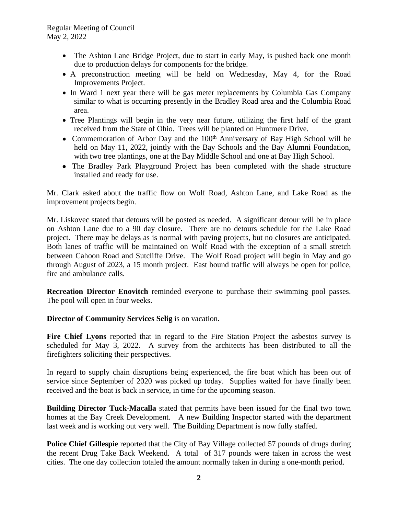# Regular Meeting of Council May 2, 2022

- The Ashton Lane Bridge Project, due to start in early May, is pushed back one month due to production delays for components for the bridge.
- A preconstruction meeting will be held on Wednesday, May 4, for the Road Improvements Project.
- In Ward 1 next year there will be gas meter replacements by Columbia Gas Company similar to what is occurring presently in the Bradley Road area and the Columbia Road area.
- Tree Plantings will begin in the very near future, utilizing the first half of the grant received from the State of Ohio. Trees will be planted on Huntmere Drive.
- Commemoration of Arbor Day and the 100<sup>th</sup> Anniversary of Bay High School will be held on May 11, 2022, jointly with the Bay Schools and the Bay Alumni Foundation, with two tree plantings, one at the Bay Middle School and one at Bay High School.
- The Bradley Park Playground Project has been completed with the shade structure installed and ready for use.

Mr. Clark asked about the traffic flow on Wolf Road, Ashton Lane, and Lake Road as the improvement projects begin.

Mr. Liskovec stated that detours will be posted as needed. A significant detour will be in place on Ashton Lane due to a 90 day closure. There are no detours schedule for the Lake Road project. There may be delays as is normal with paving projects, but no closures are anticipated. Both lanes of traffic will be maintained on Wolf Road with the exception of a small stretch between Cahoon Road and Sutcliffe Drive. The Wolf Road project will begin in May and go through August of 2023, a 15 month project. East bound traffic will always be open for police, fire and ambulance calls.

**Recreation Director Enovitch** reminded everyone to purchase their swimming pool passes. The pool will open in four weeks.

**Director of Community Services Selig** is on vacation.

**Fire Chief Lyons** reported that in regard to the Fire Station Project the asbestos survey is scheduled for May 3, 2022. A survey from the architects has been distributed to all the firefighters soliciting their perspectives.

In regard to supply chain disruptions being experienced, the fire boat which has been out of service since September of 2020 was picked up today. Supplies waited for have finally been received and the boat is back in service, in time for the upcoming season.

**Building Director Tuck-Macalla** stated that permits have been issued for the final two town homes at the Bay Creek Development. A new Building Inspector started with the department last week and is working out very well. The Building Department is now fully staffed.

**Police Chief Gillespie** reported that the City of Bay Village collected 57 pounds of drugs during the recent Drug Take Back Weekend. A total of 317 pounds were taken in across the west cities. The one day collection totaled the amount normally taken in during a one-month period.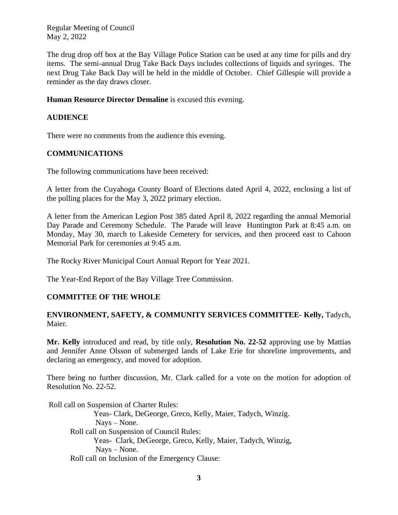Regular Meeting of Council May 2, 2022

The drug drop off box at the Bay Village Police Station can be used at any time for pills and dry items. The semi-annual Drug Take Back Days includes collections of liquids and syringes. The next Drug Take Back Day will be held in the middle of October. Chief Gillespie will provide a reminder as the day draws closer.

#### **Human Resource Director Demaline** is excused this evening.

#### **AUDIENCE**

There were no comments from the audience this evening.

#### **COMMUNICATIONS**

The following communications have been received:

A letter from the Cuyahoga County Board of Elections dated April 4, 2022, enclosing a list of the polling places for the May 3, 2022 primary election.

A letter from the American Legion Post 385 dated April 8, 2022 regarding the annual Memorial Day Parade and Ceremony Schedule. The Parade will leave Huntington Park at 8:45 a.m. on Monday, May 30, march to Lakeside Cemetery for services, and then proceed east to Cahoon Memorial Park for ceremonies at 9:45 a.m.

The Rocky River Municipal Court Annual Report for Year 2021.

The Year-End Report of the Bay Village Tree Commission.

# **COMMITTEE OF THE WHOLE**

#### **ENVIRONMENT, SAFETY, & COMMUNITY SERVICES COMMITTEE- Kelly,** Tadych, Maier.

**Mr. Kelly** introduced and read, by title only, **Resolution No. 22-52** approving use by Mattias and Jennifer Anne Olsson of submerged lands of Lake Erie for shoreline improvements, and declaring an emergency, and moved for adoption.

There being no further discussion, Mr. Clark called for a vote on the motion for adoption of Resolution No. 22-52.

Roll call on Suspension of Charter Rules:

Yeas- Clark, DeGeorge, Greco, Kelly, Maier, Tadych, Winzig. Nays – None. Roll call on Suspension of Council Rules: Yeas- Clark, DeGeorge, Greco, Kelly, Maier, Tadych, Winzig, Nays – None. Roll call on Inclusion of the Emergency Clause: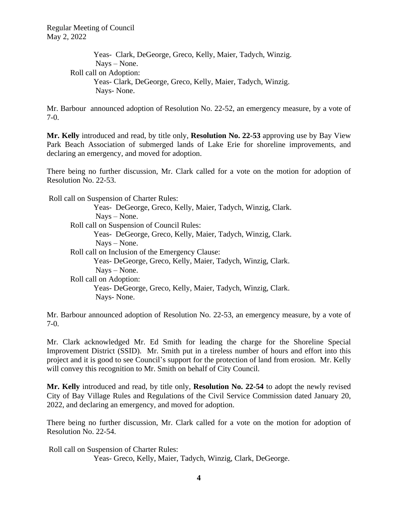Yeas- Clark, DeGeorge, Greco, Kelly, Maier, Tadych, Winzig. Nays – None. Roll call on Adoption: Yeas- Clark, DeGeorge, Greco, Kelly, Maier, Tadych, Winzig. Nays- None.

Mr. Barbour announced adoption of Resolution No. 22-52, an emergency measure, by a vote of 7-0.

**Mr. Kelly** introduced and read, by title only, **Resolution No. 22-53** approving use by Bay View Park Beach Association of submerged lands of Lake Erie for shoreline improvements, and declaring an emergency, and moved for adoption.

There being no further discussion, Mr. Clark called for a vote on the motion for adoption of Resolution No. 22-53.

 Roll call on Suspension of Charter Rules: Yeas- DeGeorge, Greco, Kelly, Maier, Tadych, Winzig, Clark. Nays – None. Roll call on Suspension of Council Rules: Yeas- DeGeorge, Greco, Kelly, Maier, Tadych, Winzig, Clark. Nays – None. Roll call on Inclusion of the Emergency Clause: Yeas- DeGeorge, Greco, Kelly, Maier, Tadych, Winzig, Clark. Nays – None. Roll call on Adoption: Yeas- DeGeorge, Greco, Kelly, Maier, Tadych, Winzig, Clark. Nays- None.

Mr. Barbour announced adoption of Resolution No. 22-53, an emergency measure, by a vote of 7-0.

Mr. Clark acknowledged Mr. Ed Smith for leading the charge for the Shoreline Special Improvement District (SSID). Mr. Smith put in a tireless number of hours and effort into this project and it is good to see Council's support for the protection of land from erosion. Mr. Kelly will convey this recognition to Mr. Smith on behalf of City Council.

**Mr. Kelly** introduced and read, by title only, **Resolution No. 22-54** to adopt the newly revised City of Bay Village Rules and Regulations of the Civil Service Commission dated January 20, 2022, and declaring an emergency, and moved for adoption.

There being no further discussion, Mr. Clark called for a vote on the motion for adoption of Resolution No. 22-54.

 Roll call on Suspension of Charter Rules: Yeas- Greco, Kelly, Maier, Tadych, Winzig, Clark, DeGeorge.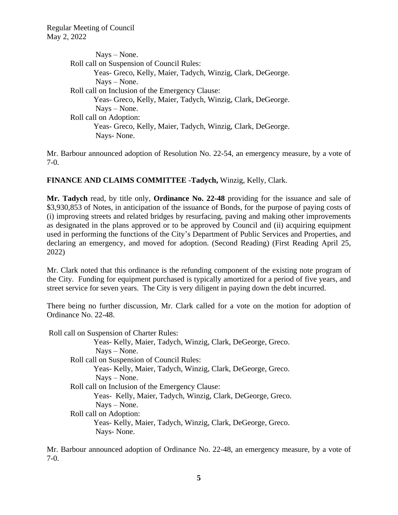Nays – None. Roll call on Suspension of Council Rules: Yeas- Greco, Kelly, Maier, Tadych, Winzig, Clark, DeGeorge. Nays – None. Roll call on Inclusion of the Emergency Clause: Yeas- Greco, Kelly, Maier, Tadych, Winzig, Clark, DeGeorge. Nays – None. Roll call on Adoption: Yeas- Greco, Kelly, Maier, Tadych, Winzig, Clark, DeGeorge. Nays- None.

Mr. Barbour announced adoption of Resolution No. 22-54, an emergency measure, by a vote of 7-0.

# **FINANCE AND CLAIMS COMMITTEE -Tadych,** Winzig, Kelly, Clark.

**Mr. Tadych** read, by title only, **Ordinance No. 22-48** providing for the issuance and sale of \$3,930,853 of Notes, in anticipation of the issuance of Bonds, for the purpose of paying costs of (i) improving streets and related bridges by resurfacing, paving and making other improvements as designated in the plans approved or to be approved by Council and (ii) acquiring equipment used in performing the functions of the City's Department of Public Services and Properties, and declaring an emergency, and moved for adoption. (Second Reading) (First Reading April 25, 2022)

Mr. Clark noted that this ordinance is the refunding component of the existing note program of the City. Funding for equipment purchased is typically amortized for a period of five years, and street service for seven years. The City is very diligent in paying down the debt incurred.

There being no further discussion, Mr. Clark called for a vote on the motion for adoption of Ordinance No. 22-48.

Roll call on Suspension of Charter Rules:

Yeas- Kelly, Maier, Tadych, Winzig, Clark, DeGeorge, Greco. Nays – None. Roll call on Suspension of Council Rules: Yeas- Kelly, Maier, Tadych, Winzig, Clark, DeGeorge, Greco. Nays – None. Roll call on Inclusion of the Emergency Clause: Yeas- Kelly, Maier, Tadych, Winzig, Clark, DeGeorge, Greco. Nays – None. Roll call on Adoption: Yeas- Kelly, Maier, Tadych, Winzig, Clark, DeGeorge, Greco. Nays- None.

Mr. Barbour announced adoption of Ordinance No. 22-48, an emergency measure, by a vote of 7-0.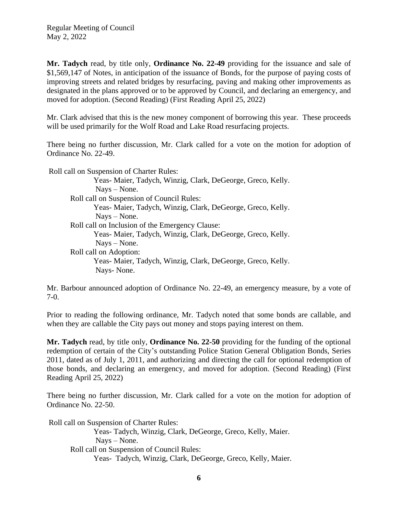**Mr. Tadych** read, by title only, **Ordinance No. 22-49** providing for the issuance and sale of \$1,569,147 of Notes, in anticipation of the issuance of Bonds, for the purpose of paying costs of improving streets and related bridges by resurfacing, paving and making other improvements as designated in the plans approved or to be approved by Council, and declaring an emergency, and moved for adoption. (Second Reading) (First Reading April 25, 2022)

Mr. Clark advised that this is the new money component of borrowing this year. These proceeds will be used primarily for the Wolf Road and Lake Road resurfacing projects.

There being no further discussion, Mr. Clark called for a vote on the motion for adoption of Ordinance No. 22-49.

 Roll call on Suspension of Charter Rules: Yeas- Maier, Tadych, Winzig, Clark, DeGeorge, Greco, Kelly. Nays – None. Roll call on Suspension of Council Rules: Yeas- Maier, Tadych, Winzig, Clark, DeGeorge, Greco, Kelly. Nays – None. Roll call on Inclusion of the Emergency Clause: Yeas- Maier, Tadych, Winzig, Clark, DeGeorge, Greco, Kelly. Nays – None. Roll call on Adoption: Yeas- Maier, Tadych, Winzig, Clark, DeGeorge, Greco, Kelly. Nays- None.

Mr. Barbour announced adoption of Ordinance No. 22-49, an emergency measure, by a vote of 7-0.

Prior to reading the following ordinance, Mr. Tadych noted that some bonds are callable, and when they are callable the City pays out money and stops paying interest on them.

**Mr. Tadych** read, by title only, **Ordinance No. 22-50** providing for the funding of the optional redemption of certain of the City's outstanding Police Station General Obligation Bonds, Series 2011, dated as of July 1, 2011, and authorizing and directing the call for optional redemption of those bonds, and declaring an emergency, and moved for adoption. (Second Reading) (First Reading April 25, 2022)

There being no further discussion, Mr. Clark called for a vote on the motion for adoption of Ordinance No. 22-50.

Roll call on Suspension of Charter Rules:

Yeas- Tadych, Winzig, Clark, DeGeorge, Greco, Kelly, Maier. Nays – None. Roll call on Suspension of Council Rules: Yeas- Tadych, Winzig, Clark, DeGeorge, Greco, Kelly, Maier.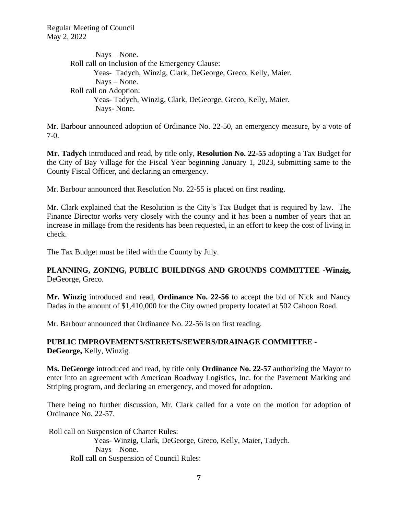Nays – None. Roll call on Inclusion of the Emergency Clause: Yeas- Tadych, Winzig, Clark, DeGeorge, Greco, Kelly, Maier. Nays – None. Roll call on Adoption: Yeas- Tadych, Winzig, Clark, DeGeorge, Greco, Kelly, Maier. Nays- None.

Mr. Barbour announced adoption of Ordinance No. 22-50, an emergency measure, by a vote of 7-0.

**Mr. Tadych** introduced and read, by title only, **Resolution No. 22-55** adopting a Tax Budget for the City of Bay Village for the Fiscal Year beginning January 1, 2023, submitting same to the County Fiscal Officer, and declaring an emergency.

Mr. Barbour announced that Resolution No. 22-55 is placed on first reading.

Mr. Clark explained that the Resolution is the City's Tax Budget that is required by law. The Finance Director works very closely with the county and it has been a number of years that an increase in millage from the residents has been requested, in an effort to keep the cost of living in check.

The Tax Budget must be filed with the County by July.

# **PLANNING, ZONING, PUBLIC BUILDINGS AND GROUNDS COMMITTEE -Winzig,** DeGeorge, Greco.

**Mr. Winzig** introduced and read, **Ordinance No. 22-56** to accept the bid of Nick and Nancy Dadas in the amount of \$1,410,000 for the City owned property located at 502 Cahoon Road.

Mr. Barbour announced that Ordinance No. 22-56 is on first reading.

# **PUBLIC IMPROVEMENTS/STREETS/SEWERS/DRAINAGE COMMITTEE - DeGeorge,** Kelly, Winzig.

**Ms. DeGeorge** introduced and read, by title only **Ordinance No. 22-57** authorizing the Mayor to enter into an agreement with American Roadway Logistics, Inc. for the Pavement Marking and Striping program, and declaring an emergency, and moved for adoption.

There being no further discussion, Mr. Clark called for a vote on the motion for adoption of Ordinance No. 22-57.

Roll call on Suspension of Charter Rules:

Yeas- Winzig, Clark, DeGeorge, Greco, Kelly, Maier, Tadych. Nays – None. Roll call on Suspension of Council Rules: